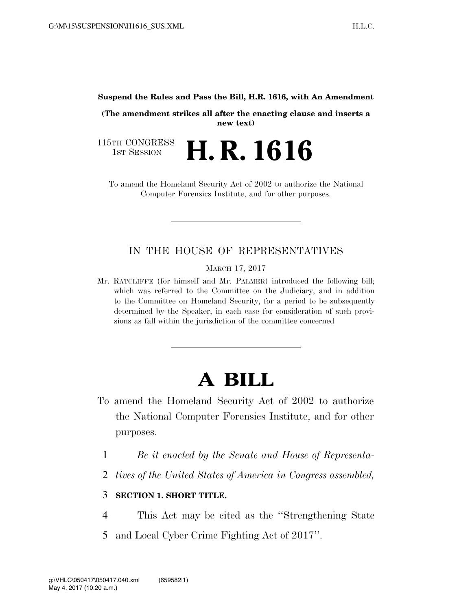**Suspend the Rules and Pass the Bill, H.R. 1616, with An Amendment** 

**(The amendment strikes all after the enacting clause and inserts a new text)** 

115TH CONGRESS<br>1st Session H. R. 1616

To amend the Homeland Security Act of 2002 to authorize the National Computer Forensics Institute, and for other purposes.

## IN THE HOUSE OF REPRESENTATIVES

MARCH 17, 2017

Mr. RATCLIFFE (for himself and Mr. PALMER) introduced the following bill; which was referred to the Committee on the Judiciary, and in addition to the Committee on Homeland Security, for a period to be subsequently determined by the Speaker, in each case for consideration of such provisions as fall within the jurisdiction of the committee concerned

## **A BILL**

- To amend the Homeland Security Act of 2002 to authorize the National Computer Forensics Institute, and for other purposes.
	- 1 *Be it enacted by the Senate and House of Representa-*
	- 2 *tives of the United States of America in Congress assembled,*

## 3 **SECTION 1. SHORT TITLE.**

- 4 This Act may be cited as the ''Strengthening State
- 5 and Local Cyber Crime Fighting Act of 2017''.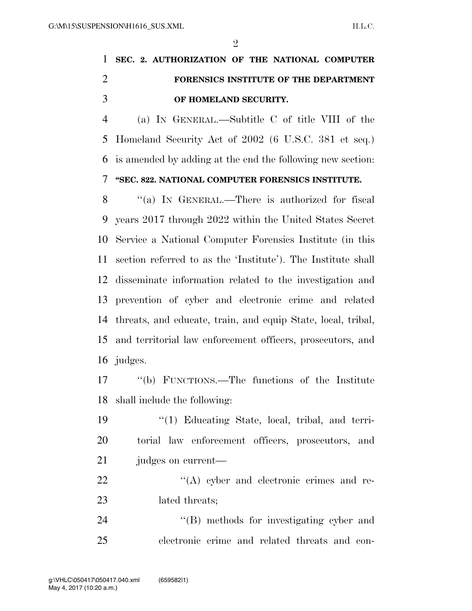$\mathfrak{D}$ 

## **SEC. 2. AUTHORIZATION OF THE NATIONAL COMPUTER FORENSICS INSTITUTE OF THE DEPARTMENT OF HOMELAND SECURITY.**

 (a) IN GENERAL.—Subtitle C of title VIII of the Homeland Security Act of 2002 (6 U.S.C. 381 et seq.) is amended by adding at the end the following new section: **''SEC. 822. NATIONAL COMPUTER FORENSICS INSTITUTE.** 

8 "(a) In GENERAL.—There is authorized for fiscal years 2017 through 2022 within the United States Secret Service a National Computer Forensics Institute (in this section referred to as the 'Institute'). The Institute shall disseminate information related to the investigation and prevention of cyber and electronic crime and related threats, and educate, train, and equip State, local, tribal, and territorial law enforcement officers, prosecutors, and judges.

 ''(b) FUNCTIONS.—The functions of the Institute shall include the following:

 ''(1) Educating State, local, tribal, and terri- torial law enforcement officers, prosecutors, and judges on current—

22  $\langle (A) \rangle$  cyber and electronic crimes and re-23 lated threats;

24 ''(B) methods for investigating cyber and electronic crime and related threats and con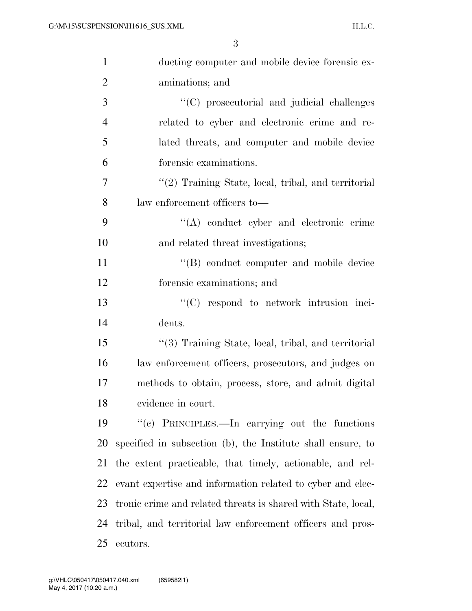| $\mathbf{1}$   | ducting computer and mobile device forensic ex-               |
|----------------|---------------------------------------------------------------|
| $\overline{2}$ | aminations; and                                               |
| 3              | "(C) prosecutorial and judicial challenges                    |
| $\overline{4}$ | related to cyber and electronic crime and re-                 |
| 5              | lated threats, and computer and mobile device                 |
| 6              | forensic examinations.                                        |
| 7              | "(2) Training State, local, tribal, and territorial           |
| 8              | law enforcement officers to—                                  |
| 9              | $\lq\lq$ conduct cyber and electronic crime                   |
| 10             | and related threat investigations;                            |
| 11             | "(B) conduct computer and mobile device                       |
| 12             | forensic examinations; and                                    |
| 13             | $\lq\lq$ (C) respond to network intrusion inci-               |
| 14             | dents.                                                        |
| 15             | "(3) Training State, local, tribal, and territorial           |
| 16             | law enforcement officers, prosecutors, and judges on          |
| 17             | methods to obtain, process, store, and admit digital          |
| 18             | evidence in court.                                            |
| 19             | "(c) PRINCIPLES.—In carrying out the functions                |
| 20             | specified in subsection (b), the Institute shall ensure, to   |
| 21             | the extent practicable, that timely, actionable, and rel-     |
| 22             | evant expertise and information related to cyber and elec-    |
| 23             | tronic crime and related threats is shared with State, local, |
| 24             | tribal, and territorial law enforcement officers and pros-    |
| 25             | ecutors.                                                      |